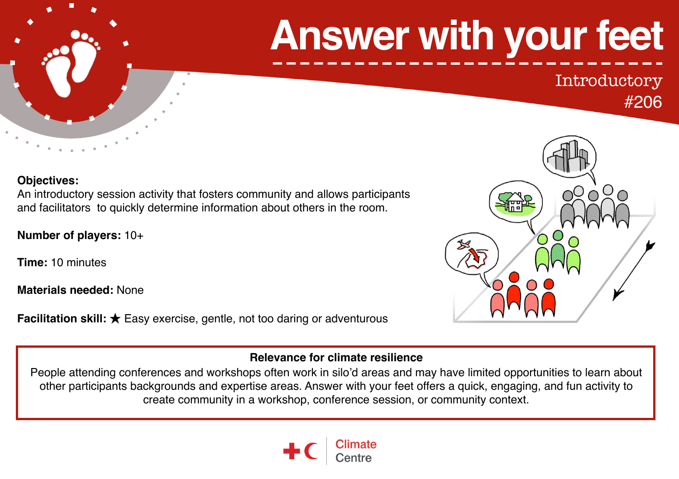# **Answer with your feet**

## Introductory

#### #206

#### **Objectives:**

An introductory session activity that fosters community and allows participants and facilitators to quickly determine information about others in the room.

**Number of players:** 10+

**Time:** 10 minutes

**Materials needed:** None

**Facilitation skill:** ★ Easy exercise, gentle, not too daring or adventurous



#### **Relevance for climate resilience**

People attending conferences and workshops often work in silo'd areas and may have limited opportunities to learn about other participants backgrounds and expertise areas. Answer with your feet offers a quick, engaging, and fun activity to create community in a workshop, conference session, or community context.